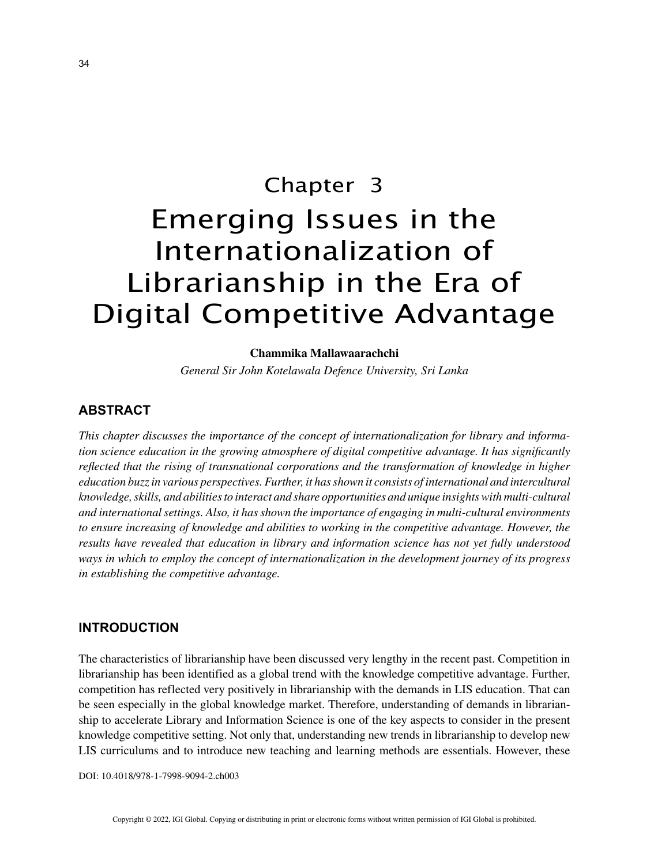# Chapter 3 Emerging Issues in the Internationalization of Librarianship in the Era of Digital Competitive Advantage

#### **Chammika Mallawaarachchi**

*General Sir John Kotelawala Defence University, Sri Lanka*

## **ABSTRACT**

*This chapter discusses the importance of the concept of internationalization for library and information science education in the growing atmosphere of digital competitive advantage. It has significantly reflected that the rising of transnational corporations and the transformation of knowledge in higher education buzz in various perspectives. Further, it has shown it consists of international and intercultural knowledge, skills, and abilities to interact and share opportunities and unique insights with multi-cultural and international settings. Also, it has shown the importance of engaging in multi-cultural environments to ensure increasing of knowledge and abilities to working in the competitive advantage. However, the results have revealed that education in library and information science has not yet fully understood ways in which to employ the concept of internationalization in the development journey of its progress in establishing the competitive advantage.*

### **INTRODUCTION**

The characteristics of librarianship have been discussed very lengthy in the recent past. Competition in librarianship has been identified as a global trend with the knowledge competitive advantage. Further, competition has reflected very positively in librarianship with the demands in LIS education. That can be seen especially in the global knowledge market. Therefore, understanding of demands in librarianship to accelerate Library and Information Science is one of the key aspects to consider in the present knowledge competitive setting. Not only that, understanding new trends in librarianship to develop new LIS curriculums and to introduce new teaching and learning methods are essentials. However, these

DOI: 10.4018/978-1-7998-9094-2.ch003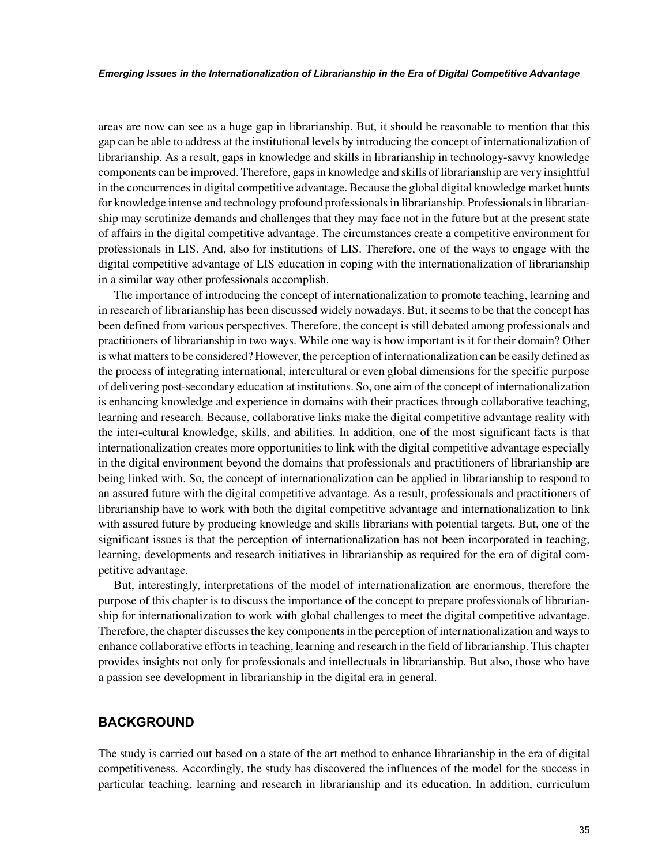areas are now can see as a huge gap in librarianship. But, it should be reasonable to mention that this gap can be able to address at the institutional levels by introducing the concept of internationalization of librarianship. As a result, gaps in knowledge and skills in librarianship in technology-savvy knowledge components can be improved. Therefore, gaps in knowledge and skills of librarianship are very insightful in the concurrences in digital competitive advantage. Because the global digital knowledge market hunts for knowledge intense and technology profound professionals in librarianship. Professionals in librarianship may scrutinize demands and challenges that they may face not in the future but at the present state of affairs in the digital competitive advantage. The circumstances create a competitive environment for professionals in LIS. And, also for institutions of LIS. Therefore, one of the ways to engage with the digital competitive advantage of LIS education in coping with the internationalization of librarianship in a similar way other professionals accomplish.

The importance of introducing the concept of internationalization to promote teaching, learning and in research of librarianship has been discussed widely nowadays. But, it seems to be that the concept has been defined from various perspectives. Therefore, the concept is still debated among professionals and practitioners of librarianship in two ways. While one way is how important is it for their domain? Other is what matters to be considered? However, the perception of internationalization can be easily defined as the process of integrating international, intercultural or even global dimensions for the specific purpose of delivering post-secondary education at institutions. So, one aim of the concept of internationalization is enhancing knowledge and experience in domains with their practices through collaborative teaching, learning and research. Because, collaborative links make the digital competitive advantage reality with the inter-cultural knowledge, skills, and abilities. In addition, one of the most significant facts is that internationalization creates more opportunities to link with the digital competitive advantage especially in the digital environment beyond the domains that professionals and practitioners of librarianship are being linked with. So, the concept of internationalization can be applied in librarianship to respond to an assured future with the digital competitive advantage. As a result, professionals and practitioners of librarianship have to work with both the digital competitive advantage and internationalization to link with assured future by producing knowledge and skills librarians with potential targets. But, one of the significant issues is that the perception of internationalization has not been incorporated in teaching, learning, developments and research initiatives in librarianship as required for the era of digital competitive advantage.

But, interestingly, interpretations of the model of internationalization are enormous, therefore the purpose of this chapter is to discuss the importance of the concept to prepare professionals of librarianship for internationalization to work with global challenges to meet the digital competitive advantage. Therefore, the chapter discusses the key components in the perception of internationalization and ways to enhance collaborative efforts in teaching, learning and research in the field of librarianship. This chapter provides insights not only for professionals and intellectuals in librarianship. But also, those who have a passion see development in librarianship in the digital era in general.

# **BACKGROUND**

The study is carried out based on a state of the art method to enhance librarianship in the era of digital competitiveness. Accordingly, the study has discovered the influences of the model for the success in particular teaching, learning and research in librarianship and its education. In addition, curriculum